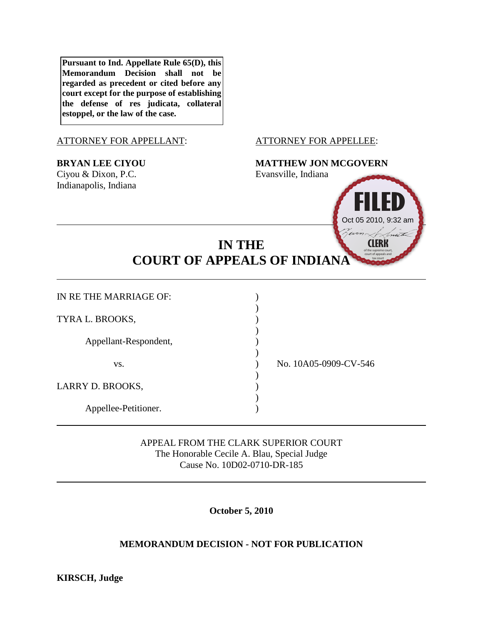**Pursuant to Ind. Appellate Rule 65(D), this Memorandum Decision shall not be regarded as precedent or cited before any court except for the purpose of establishing the defense of res judicata, collateral estoppel, or the law of the case.**

### ATTORNEY FOR APPELLANT: ATTORNEY FOR APPELLEE:

Ciyou & Dixon, P.C. Evansville, Indiana Indianapolis, Indiana

## **BRYAN LEE CIYOU MATTHEW JON MCGOVERN**



# **IN THE COURT OF APPEALS OF INDIANA**

)

)

| IN RE THE MARRIAGE OF: |  |
|------------------------|--|
| TYRA L. BROOKS,        |  |
| Appellant-Respondent,  |  |
| VS.                    |  |
| LARRY D. BROOKS,       |  |

Appellee-Petitioner. )

No. 10A05-0909-CV-546

APPEAL FROM THE CLARK SUPERIOR COURT The Honorable Cecile A. Blau, Special Judge Cause No. 10D02-0710-DR-185

**October 5, 2010**

# **MEMORANDUM DECISION - NOT FOR PUBLICATION**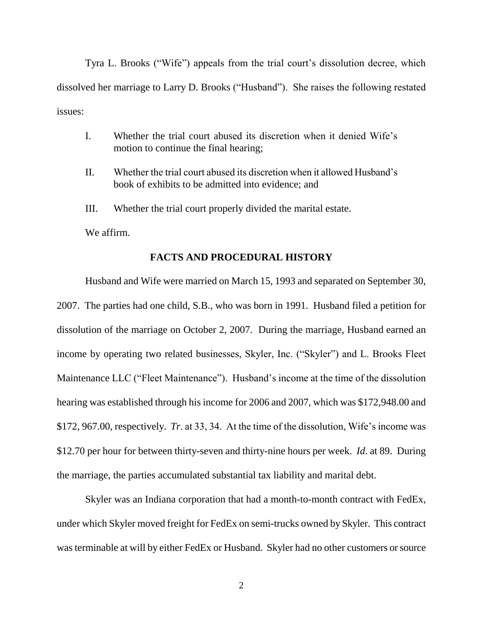Tyra L. Brooks ("Wife") appeals from the trial court's dissolution decree, which dissolved her marriage to Larry D. Brooks ("Husband"). She raises the following restated issues:

- I. Whether the trial court abused its discretion when it denied Wife"s motion to continue the final hearing;
- II. Whether the trial court abused its discretion when it allowed Husband"s book of exhibits to be admitted into evidence; and
- III. Whether the trial court properly divided the marital estate.

We affirm.

#### **FACTS AND PROCEDURAL HISTORY**

Husband and Wife were married on March 15, 1993 and separated on September 30, 2007. The parties had one child, S.B., who was born in 1991. Husband filed a petition for dissolution of the marriage on October 2, 2007. During the marriage, Husband earned an income by operating two related businesses, Skyler, Inc. ("Skyler") and L. Brooks Fleet Maintenance LLC ("Fleet Maintenance"). Husband's income at the time of the dissolution hearing was established through his income for 2006 and 2007, which was \$172,948.00 and \$172, 967.00, respectively. *Tr.* at 33, 34. At the time of the dissolution, Wife's income was \$12.70 per hour for between thirty-seven and thirty-nine hours per week. *Id*. at 89. During the marriage, the parties accumulated substantial tax liability and marital debt.

Skyler was an Indiana corporation that had a month-to-month contract with FedEx, under which Skyler moved freight for FedEx on semi-trucks owned by Skyler. This contract was terminable at will by either FedEx or Husband. Skyler had no other customers or source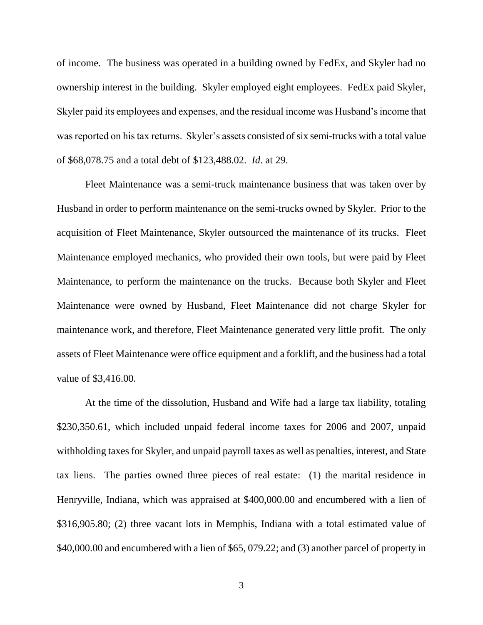of income. The business was operated in a building owned by FedEx, and Skyler had no ownership interest in the building. Skyler employed eight employees. FedEx paid Skyler, Skyler paid its employees and expenses, and the residual income was Husband"s income that was reported on his tax returns. Skyler's assets consisted of six semi-trucks with a total value of \$68,078.75 and a total debt of \$123,488.02. *Id*. at 29.

Fleet Maintenance was a semi-truck maintenance business that was taken over by Husband in order to perform maintenance on the semi-trucks owned by Skyler. Prior to the acquisition of Fleet Maintenance, Skyler outsourced the maintenance of its trucks. Fleet Maintenance employed mechanics, who provided their own tools, but were paid by Fleet Maintenance, to perform the maintenance on the trucks. Because both Skyler and Fleet Maintenance were owned by Husband, Fleet Maintenance did not charge Skyler for maintenance work, and therefore, Fleet Maintenance generated very little profit. The only assets of Fleet Maintenance were office equipment and a forklift, and the business had a total value of \$3,416.00.

At the time of the dissolution, Husband and Wife had a large tax liability, totaling \$230,350.61, which included unpaid federal income taxes for 2006 and 2007, unpaid withholding taxes for Skyler, and unpaid payroll taxes as well as penalties, interest, and State tax liens. The parties owned three pieces of real estate: (1) the marital residence in Henryville, Indiana, which was appraised at \$400,000.00 and encumbered with a lien of \$316,905.80; (2) three vacant lots in Memphis, Indiana with a total estimated value of \$40,000.00 and encumbered with a lien of \$65, 079.22; and (3) another parcel of property in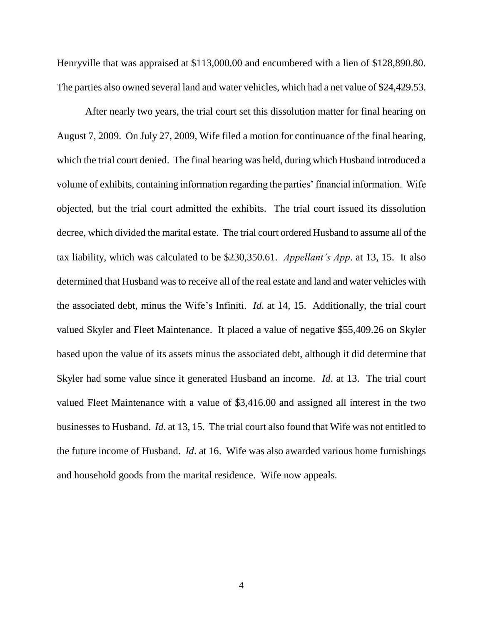Henryville that was appraised at \$113,000.00 and encumbered with a lien of \$128,890.80. The parties also owned several land and water vehicles, which had a net value of \$24,429.53.

After nearly two years, the trial court set this dissolution matter for final hearing on August 7, 2009. On July 27, 2009, Wife filed a motion for continuance of the final hearing, which the trial court denied. The final hearing was held, during which Husband introduced a volume of exhibits, containing information regarding the parties" financial information. Wife objected, but the trial court admitted the exhibits. The trial court issued its dissolution decree, which divided the marital estate. The trial court ordered Husband to assume all of the tax liability, which was calculated to be \$230,350.61. *Appellant's App*. at 13, 15. It also determined that Husband was to receive all of the real estate and land and water vehicles with the associated debt, minus the Wife"s Infiniti. *Id*. at 14, 15. Additionally, the trial court valued Skyler and Fleet Maintenance. It placed a value of negative \$55,409.26 on Skyler based upon the value of its assets minus the associated debt, although it did determine that Skyler had some value since it generated Husband an income. *Id*. at 13. The trial court valued Fleet Maintenance with a value of \$3,416.00 and assigned all interest in the two businesses to Husband. *Id*. at 13, 15. The trial court also found that Wife was not entitled to the future income of Husband. *Id*. at 16. Wife was also awarded various home furnishings and household goods from the marital residence. Wife now appeals.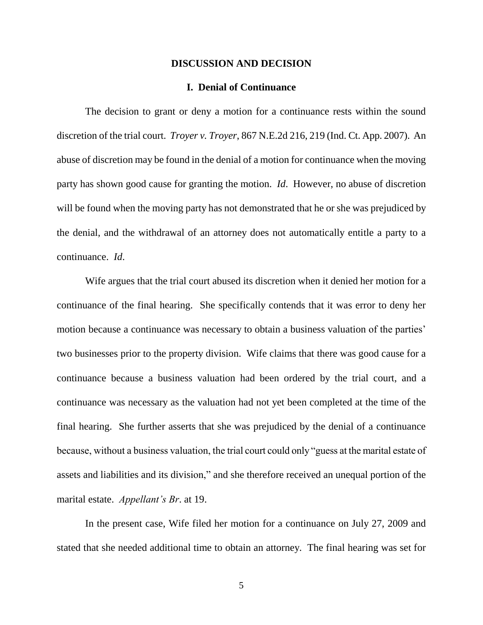#### **DISCUSSION AND DECISION**

### **I. Denial of Continuance**

The decision to grant or deny a motion for a continuance rests within the sound discretion of the trial court. *Troyer v. Troyer*, 867 N.E.2d 216, 219 (Ind. Ct. App. 2007). An abuse of discretion may be found in the denial of a motion for continuance when the moving party has shown good cause for granting the motion. *Id*. However, no abuse of discretion will be found when the moving party has not demonstrated that he or she was prejudiced by the denial, and the withdrawal of an attorney does not automatically entitle a party to a continuance. *Id*.

Wife argues that the trial court abused its discretion when it denied her motion for a continuance of the final hearing. She specifically contends that it was error to deny her motion because a continuance was necessary to obtain a business valuation of the parties' two businesses prior to the property division. Wife claims that there was good cause for a continuance because a business valuation had been ordered by the trial court, and a continuance was necessary as the valuation had not yet been completed at the time of the final hearing. She further asserts that she was prejudiced by the denial of a continuance because, without a business valuation, the trial court could only "guess at the marital estate of assets and liabilities and its division," and she therefore received an unequal portion of the marital estate. *Appellant's Br*. at 19.

In the present case, Wife filed her motion for a continuance on July 27, 2009 and stated that she needed additional time to obtain an attorney. The final hearing was set for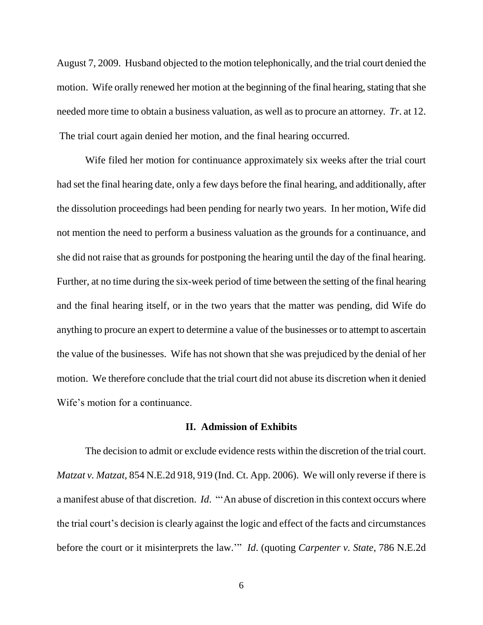August 7, 2009. Husband objected to the motion telephonically, and the trial court denied the motion. Wife orally renewed her motion at the beginning of the final hearing, stating that she needed more time to obtain a business valuation, as well as to procure an attorney. *Tr*. at 12. The trial court again denied her motion, and the final hearing occurred.

Wife filed her motion for continuance approximately six weeks after the trial court had set the final hearing date, only a few days before the final hearing, and additionally, after the dissolution proceedings had been pending for nearly two years. In her motion, Wife did not mention the need to perform a business valuation as the grounds for a continuance, and she did not raise that as grounds for postponing the hearing until the day of the final hearing. Further, at no time during the six-week period of time between the setting of the final hearing and the final hearing itself, or in the two years that the matter was pending, did Wife do anything to procure an expert to determine a value of the businesses or to attempt to ascertain the value of the businesses. Wife has not shown that she was prejudiced by the denial of her motion. We therefore conclude that the trial court did not abuse its discretion when it denied Wife's motion for a continuance.

### **II. Admission of Exhibits**

The decision to admit or exclude evidence rests within the discretion of the trial court. *Matzat v. Matzat*, 854 N.E.2d 918, 919 (Ind. Ct. App. 2006). We will only reverse if there is a manifest abuse of that discretion. *Id*. ""An abuse of discretion in this context occurs where the trial court"s decision is clearly against the logic and effect of the facts and circumstances before the court or it misinterprets the law."" *Id*. (quoting *Carpenter v. State*, 786 N.E.2d

6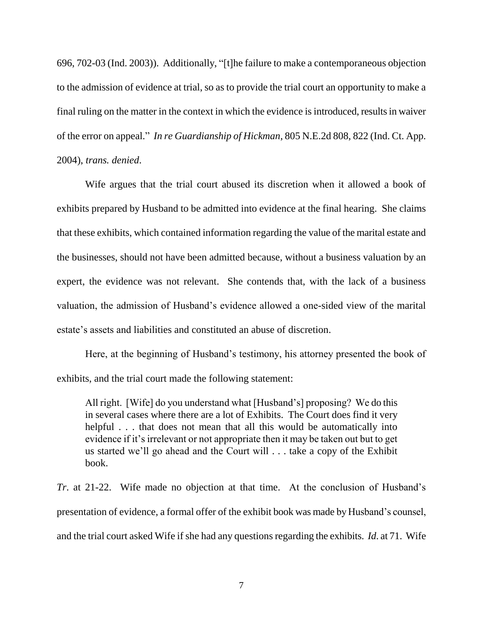696, 702-03 (Ind. 2003)). Additionally, "[t]he failure to make a contemporaneous objection to the admission of evidence at trial, so as to provide the trial court an opportunity to make a final ruling on the matter in the context in which the evidence is introduced, results in waiver of the error on appeal." *In re Guardianship of Hickman*, 805 N.E.2d 808, 822 (Ind. Ct. App. 2004), *trans. denied*.

Wife argues that the trial court abused its discretion when it allowed a book of exhibits prepared by Husband to be admitted into evidence at the final hearing. She claims that these exhibits, which contained information regarding the value of the marital estate and the businesses, should not have been admitted because, without a business valuation by an expert, the evidence was not relevant. She contends that, with the lack of a business valuation, the admission of Husband"s evidence allowed a one-sided view of the marital estate"s assets and liabilities and constituted an abuse of discretion.

Here, at the beginning of Husband"s testimony, his attorney presented the book of exhibits, and the trial court made the following statement:

All right. [Wife] do you understand what [Husband"s] proposing? We do this in several cases where there are a lot of Exhibits. The Court does find it very helpful . . . that does not mean that all this would be automatically into evidence if it"s irrelevant or not appropriate then it may be taken out but to get us started we"ll go ahead and the Court will . . . take a copy of the Exhibit book.

*Tr*. at 21-22. Wife made no objection at that time. At the conclusion of Husband"s presentation of evidence, a formal offer of the exhibit book was made by Husband"s counsel, and the trial court asked Wife if she had any questions regarding the exhibits. *Id*. at 71. Wife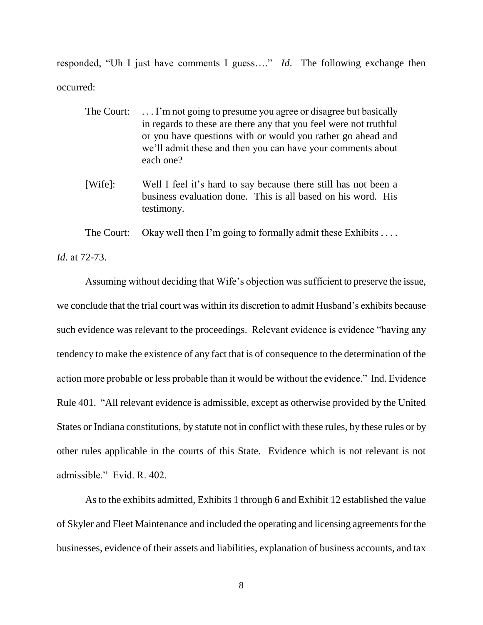responded, "Uh I just have comments I guess…." *Id*. The following exchange then occurred:

- The Court: ... I'm not going to presume you agree or disagree but basically in regards to these are there any that you feel were not truthful or you have questions with or would you rather go ahead and we"ll admit these and then you can have your comments about each one?
- [Wife]: Well I feel it"s hard to say because there still has not been a business evaluation done. This is all based on his word. His testimony.

The Court: Okay well then I'm going to formally admit these Exhibits  $\dots$ 

*Id*. at 72-73.

Assuming without deciding that Wife"s objection was sufficient to preserve the issue, we conclude that the trial court was within its discretion to admit Husband"s exhibits because such evidence was relevant to the proceedings. Relevant evidence is evidence "having any tendency to make the existence of any fact that is of consequence to the determination of the action more probable or less probable than it would be without the evidence." Ind. Evidence Rule 401. "All relevant evidence is admissible, except as otherwise provided by the United States or Indiana constitutions, by statute not in conflict with these rules, by these rules or by other rules applicable in the courts of this State. Evidence which is not relevant is not admissible." Evid. R. 402.

As to the exhibits admitted, Exhibits 1 through 6 and Exhibit 12 established the value of Skyler and Fleet Maintenance and included the operating and licensing agreements for the businesses, evidence of their assets and liabilities, explanation of business accounts, and tax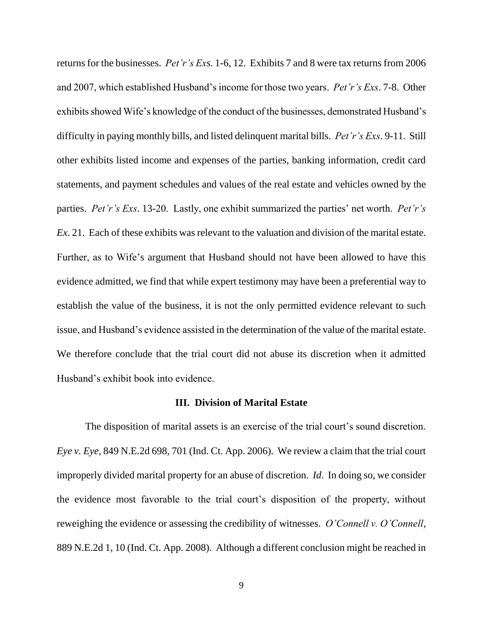returns for the businesses. *Pet'r's Exs.* 1-6, 12. Exhibits 7 and 8 were tax returns from 2006 and 2007, which established Husband"s income for those two years. *Pet'r's Exs*. 7-8. Other exhibits showed Wife"s knowledge of the conduct of the businesses, demonstrated Husband"s difficulty in paying monthly bills, and listed delinquent marital bills. *Pet'r's Exs*. 9-11. Still other exhibits listed income and expenses of the parties, banking information, credit card statements, and payment schedules and values of the real estate and vehicles owned by the parties. *Pet'r's Exs.* 13-20. Lastly, one exhibit summarized the parties' net worth. *Pet'r's Ex*. 21. Each of these exhibits was relevant to the valuation and division of the marital estate. Further, as to Wife's argument that Husband should not have been allowed to have this evidence admitted, we find that while expert testimony may have been a preferential way to establish the value of the business, it is not the only permitted evidence relevant to such issue, and Husband"s evidence assisted in the determination of the value of the marital estate. We therefore conclude that the trial court did not abuse its discretion when it admitted Husband"s exhibit book into evidence.

#### **III. Division of Marital Estate**

The disposition of marital assets is an exercise of the trial court's sound discretion. *Eye v. Eye*, 849 N.E.2d 698, 701 (Ind. Ct. App. 2006). We review a claim that the trial court improperly divided marital property for an abuse of discretion. *Id*. In doing so, we consider the evidence most favorable to the trial court"s disposition of the property, without reweighing the evidence or assessing the credibility of witnesses. *O'Connell v. O'Connell*, 889 N.E.2d 1, 10 (Ind. Ct. App. 2008). Although a different conclusion might be reached in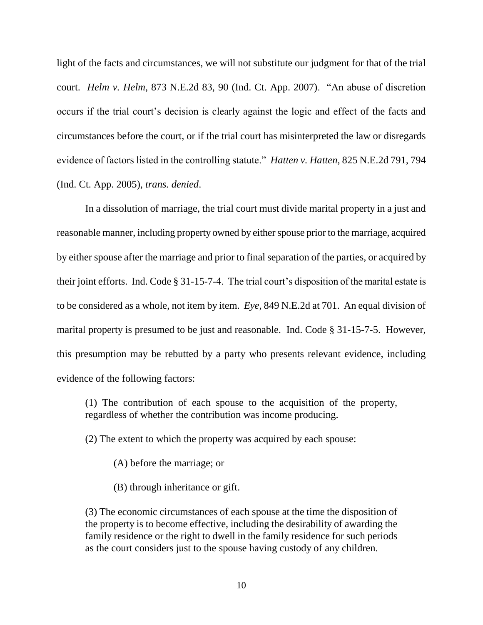light of the facts and circumstances, we will not substitute our judgment for that of the trial court. *Helm v. Helm*, 873 N.E.2d 83, 90 (Ind. Ct. App. 2007). "An abuse of discretion occurs if the trial court"s decision is clearly against the logic and effect of the facts and circumstances before the court, or if the trial court has misinterpreted the law or disregards evidence of factors listed in the controlling statute." *Hatten v. Hatten*, 825 N.E.2d 791, 794 (Ind. Ct. App. 2005), *trans. denied*.

In a dissolution of marriage, the trial court must divide marital property in a just and reasonable manner, including property owned by either spouse prior to the marriage, acquired by either spouse after the marriage and prior to final separation of the parties, or acquired by their joint efforts. Ind. Code  $\S 31-15-7-4$ . The trial court's disposition of the marital estate is to be considered as a whole, not item by item. *Eye*, 849 N.E.2d at 701. An equal division of marital property is presumed to be just and reasonable. Ind. Code § 31-15-7-5. However, this presumption may be rebutted by a party who presents relevant evidence, including evidence of the following factors:

(1) The contribution of each spouse to the acquisition of the property, regardless of whether the contribution was income producing.

(2) The extent to which the property was acquired by each spouse:

(A) before the marriage; or

(B) through inheritance or gift.

(3) The economic circumstances of each spouse at the time the disposition of the property is to become effective, including the desirability of awarding the family residence or the right to dwell in the family residence for such periods as the court considers just to the spouse having custody of any children.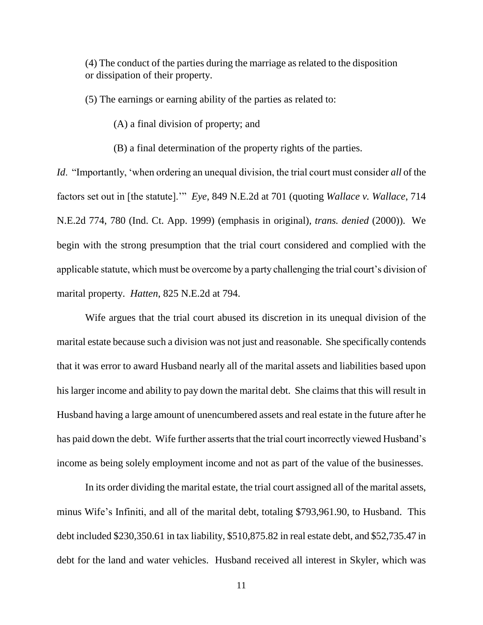(4) The conduct of the parties during the marriage as related to the disposition or dissipation of their property.

(5) The earnings or earning ability of the parties as related to:

(A) a final division of property; and

(B) a final determination of the property rights of the parties.

*Id*. "Importantly, "when ordering an unequal division, the trial court must consider *all* of the factors set out in [the statute]."" *Eye*, 849 N.E.2d at 701 (quoting *Wallace v. Wallace*, 714 N.E.2d 774, 780 (Ind. Ct. App. 1999) (emphasis in original), *trans. denied* (2000)). We begin with the strong presumption that the trial court considered and complied with the applicable statute, which must be overcome by a party challenging the trial court's division of marital property. *Hatten*, 825 N.E.2d at 794.

Wife argues that the trial court abused its discretion in its unequal division of the marital estate because such a division was not just and reasonable. She specifically contends that it was error to award Husband nearly all of the marital assets and liabilities based upon his larger income and ability to pay down the marital debt. She claims that this will result in Husband having a large amount of unencumbered assets and real estate in the future after he has paid down the debt. Wife further asserts that the trial court incorrectly viewed Husband"s income as being solely employment income and not as part of the value of the businesses.

In its order dividing the marital estate, the trial court assigned all of the marital assets, minus Wife"s Infiniti, and all of the marital debt, totaling \$793,961.90, to Husband. This debt included \$230,350.61 in tax liability, \$510,875.82 in real estate debt, and \$52,735.47 in debt for the land and water vehicles. Husband received all interest in Skyler, which was